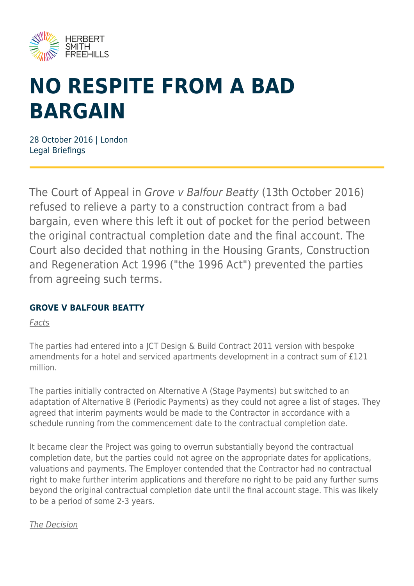

# **NO RESPITE FROM A BAD BARGAIN**

28 October 2016 | London Legal Briefings

The Court of Appeal in Grove v Balfour Beatty (13th October 2016) refused to relieve a party to a construction contract from a bad bargain, even where this left it out of pocket for the period between the original contractual completion date and the final account. The Court also decided that nothing in the Housing Grants, Construction and Regeneration Act 1996 ("the 1996 Act") prevented the parties from agreeing such terms.

#### **GROVE V BALFOUR BEATTY**

Facts

The parties had entered into a JCT Design & Build Contract 2011 version with bespoke amendments for a hotel and serviced apartments development in a contract sum of £121 million.

The parties initially contracted on Alternative A (Stage Payments) but switched to an adaptation of Alternative B (Periodic Payments) as they could not agree a list of stages. They agreed that interim payments would be made to the Contractor in accordance with a schedule running from the commencement date to the contractual completion date.

It became clear the Project was going to overrun substantially beyond the contractual completion date, but the parties could not agree on the appropriate dates for applications, valuations and payments. The Employer contended that the Contractor had no contractual right to make further interim applications and therefore no right to be paid any further sums beyond the original contractual completion date until the final account stage. This was likely to be a period of some 2-3 years.

#### The Decision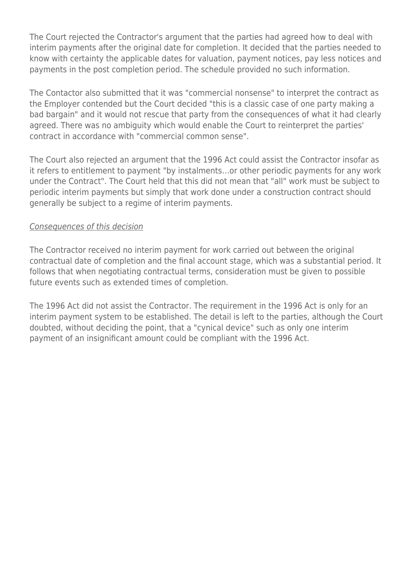The Court rejected the Contractor's argument that the parties had agreed how to deal with interim payments after the original date for completion. It decided that the parties needed to know with certainty the applicable dates for valuation, payment notices, pay less notices and payments in the post completion period. The schedule provided no such information.

The Contactor also submitted that it was "commercial nonsense" to interpret the contract as the Employer contended but the Court decided "this is a classic case of one party making a bad bargain" and it would not rescue that party from the consequences of what it had clearly agreed. There was no ambiguity which would enable the Court to reinterpret the parties' contract in accordance with "commercial common sense".

The Court also rejected an argument that the 1996 Act could assist the Contractor insofar as it refers to entitlement to payment "by instalments…or other periodic payments for any work under the Contract". The Court held that this did not mean that "all" work must be subject to periodic interim payments but simply that work done under a construction contract should generally be subject to a regime of interim payments.

#### Consequences of this decision

The Contractor received no interim payment for work carried out between the original contractual date of completion and the final account stage, which was a substantial period. It follows that when negotiating contractual terms, consideration must be given to possible future events such as extended times of completion.

The 1996 Act did not assist the Contractor. The requirement in the 1996 Act is only for an interim payment system to be established. The detail is left to the parties, although the Court doubted, without deciding the point, that a "cynical device" such as only one interim payment of an insignificant amount could be compliant with the 1996 Act.